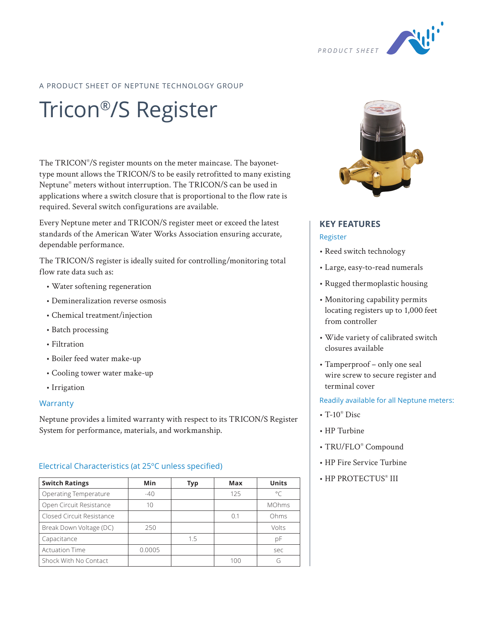

# A PRODUCT SHEET OF NEPTUNE TECHNOLOGY GROUP

# Tricon®/S Register

The TRICON® /S register mounts on the meter maincase. The bayonettype mount allows the TRICON/S to be easily retrofitted to many existing Neptune® meters without interruption. The TRICON/S can be used in applications where a switch closure that is proportional to the flow rate is required. Several switch configurations are available.

Every Neptune meter and TRICON/S register meet or exceed the latest standards of the American Water Works Association ensuring accurate, dependable performance.

The TRICON/S register is ideally suited for controlling/monitoring total flow rate data such as:

- Water softening regeneration
- Demineralization reverse osmosis
- Chemical treatment/injection
- Batch processing
- Filtration
- Boiler feed water make-up
- Cooling tower water make-up
- Irrigation

#### **Warranty**

Neptune provides a limited warranty with respect to its TRICON/S Register System for performance, materials, and workmanship.

## Electrical Characteristics (at 25ºC unless specified)

| <b>Switch Ratings</b>     | <b>Min</b> | Typ | Max | <b>Units</b> |  |  |
|---------------------------|------------|-----|-----|--------------|--|--|
| Operating Temperature     | $-40$      |     | 125 | $\circ$      |  |  |
| Open Circuit Resistance   | 10         |     |     | <b>MOhms</b> |  |  |
| Closed Circuit Resistance |            |     | 0.1 | Ohms         |  |  |
| Break Down Voltage (DC)   | 250        |     |     | Volts        |  |  |
| Capacitance               |            | 1.5 |     | рF           |  |  |
| <b>Actuation Time</b>     | 0.0005     |     |     | sec          |  |  |
| Shock With No Contact     |            |     | 100 | G            |  |  |



# **KEY FEATURES** Register

- Reed switch technology
- Large, easy-to-read numerals
- Rugged thermoplastic housing
- Monitoring capability permits locating registers up to 1,000 feet from controller
- Wide variety of calibrated switch closures available
- Tamperproof only one seal wire screw to secure register and terminal cover

## Readily available for all Neptune meters:

- $T-10^{\circ}$  Disc
- HP Turbine
- TRU/FLO® Compound
- HP Fire Service Turbine
- HP PROTECTUS® III